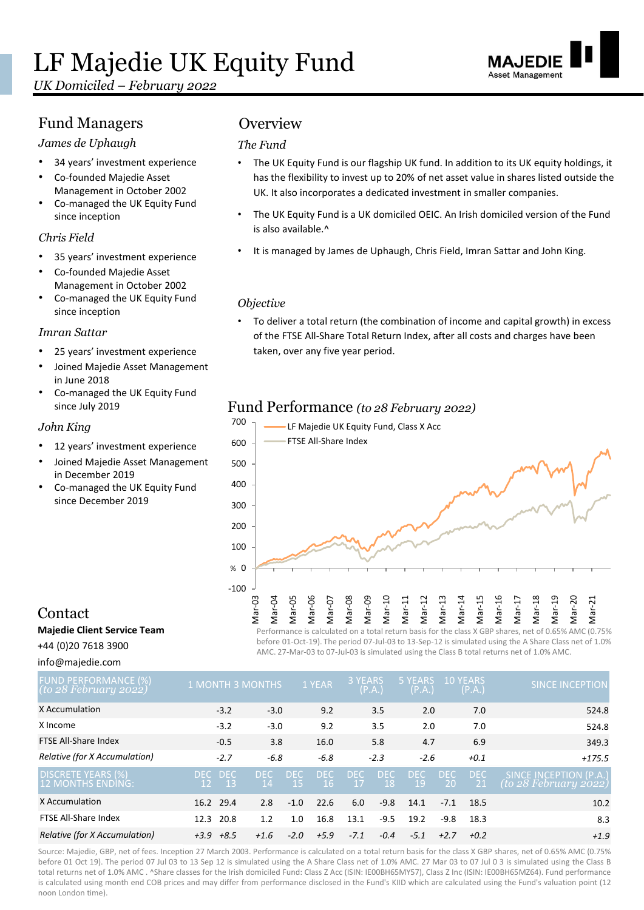*UK Domiciled – February 2022*

# Fund Managers **Overview**

### *James de Uphaugh*

- 34 years' investment experience
- Co-founded Majedie Asset Management in October 2002
- Co-managed the UK Equity Fund since inception

### *Chris Field*

- 35 years' investment experience
- Co-founded Majedie Asset Management in October 2002
- Co-managed the UK Equity Fund since inception

### *Imran Sattar*

- 25 years' investment experience
- Joined Majedie Asset Management in June 2018
- Co-managed the UK Equity Fund since July 2019

### *John King*

- 12 years' investment experience
- Joined Majedie Asset Management in December 2019
- Co-managed the UK Equity Fund since December 2019

### *The Fund*

- The UK Equity Fund is our flagship UK fund. In addition to its UK equity holdings, it has the flexibility to invest up to 20% of net asset value in shares listed outside the UK. It also incorporates a dedicated investment in smaller companies.
- The UK Equity Fund is a UK domiciled OEIC. An Irish domiciled version of the Fund is also available.^
- It is managed by James de Uphaugh, Chris Field, Imran Sattar and John King.

### *Objective*

• To deliver a total return (the combination of income and capital growth) in excess of the FTSE All-Share Total Return Index, after all costs and charges have been taken, over any five year period.

# Fund Performance *(to 28 February 2022)*



# Contact

**Majedie Client Service Team**

+44 (0)20 7618 3900

info@majedie.com

before 01-Oct-19). The period 07-Jul-03 to 13-Sep-12 is simulated using the A Share Class net of 1.0% AMC. 27-Mar-03 to 07-Jul-03 is simulated using the Class B total returns net of 1.0% AMC.

| FUND PERFORMANCE (%)<br>(to 28 February 2022) | <b>1 MONTH 3 MONTHS</b>  |         |                  |                   | 1 YEAR     | 3 YEARS                   | (P.A.)           | 5 YEARS<br>(P.A.) |                             | <b>10 YEARS</b><br>(P.A.)   | <b>SINCE INCEPTION</b>                             |
|-----------------------------------------------|--------------------------|---------|------------------|-------------------|------------|---------------------------|------------------|-------------------|-----------------------------|-----------------------------|----------------------------------------------------|
| X Accumulation                                |                          | $-3.2$  | $-3.0$           |                   | 9.2        |                           | 3.5              | 2.0               |                             | 7.0                         | 524.8                                              |
| X Income                                      |                          | $-3.2$  | $-3.0$           |                   | 9.2        |                           | 3.5              | 2.0               |                             | 7.0                         | 524.8                                              |
| FTSE All-Share Index                          |                          | $-0.5$  | 3.8              |                   | 16.0       |                           | 5.8              | 4.7               |                             | 6.9                         | 349.3                                              |
| Relative (for X Accumulation)                 |                          | $-2.7$  | $-6.8$           |                   | $-6.8$     |                           | $-2.3$           | $-2.6$            |                             | $+0.1$                      | $+175.5$                                           |
| DISCRETE YEARS (%)<br>12 MONTHS ENDING:       | DEC DEC<br><sup>12</sup> | $_{13}$ | DEC<br><b>14</b> | DFC.<br><b>15</b> | DEC<br>-16 | <b>DEC</b><br>$\sqrt{17}$ | <b>DEC</b><br>18 | <b>DEC</b><br>19  | <b>DEC</b><br><sup>20</sup> | <b>DEC</b><br><sup>21</sup> | SINCE INCEPTION (P.A.)<br>$($ to 28 February 2022) |
| X Accumulation                                | 16.2 29.4                |         | 2.8              | $-1.0$            | 22.6       | 6.0                       | $-9.8$           | 14.1              | $-7.1$                      | 18.5                        | 10.2                                               |
| FTSE All-Share Index                          | 12.3 20.8                |         | 1.2              | 1.0               | 16.8       | 13.1                      | $-9.5$           | 19.2              | $-9.8$                      | 18.3                        | 8.3                                                |
| Relative (for X Accumulation)                 | $+3.9$ $+8.5$            |         | $+1.6$           | $-2.0$            | $+5.9$     | $-7.1$                    | $-0.4$           | $-5.1$            | $+2.7$                      | $+0.2$                      | $+1.9$                                             |

Source: Majedie, GBP, net of fees. Inception 27 March 2003. Performance is calculated on a total return basis for the class X GBP shares, net of 0.65% AMC (0.75% before 01 Oct 19). The period 07 Jul 03 to 13 Sep 12 is simulated using the A Share Class net of 1.0% AMC. 27 Mar 03 to 07 Jul 0 3 is simulated using the Class B total returns net of 1.0% AMC . ^Share classes for the Irish domiciled Fund: Class Z Acc (ISIN: IE00BH65MY57), Class Z Inc (ISIN: IE00BH65MZ64). Fund performance is calculated using month end COB prices and may differ from performance disclosed in the Fund's KIID which are calculated using the Fund's valuation point (12 noon London time).

Asset Management